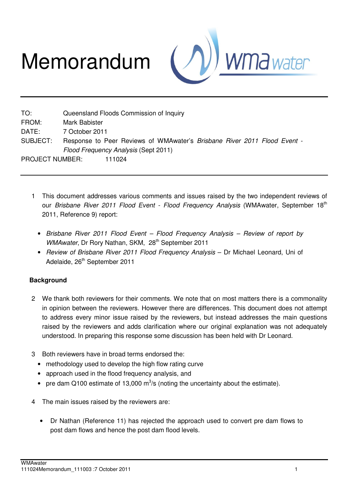# Memorandum



TO: Queensland Floods Commission of Inquiry FROM: Mark Babister DATE: 7 October 2011 SUBJECT: Response to Peer Reviews of WMAwater's *Brisbane River 2011 Flood Event* - *Flood Frequency Analysis* (Sept 2011) PROJECT NUMBER: 111024

- 1 This document addresses various comments and issues raised by the two independent reviews of our *Brisbane River 2011 Flood Event - Flood Frequency Analysis* (WMAwater, September 18<sup>th</sup> 2011, Reference 9) report:
	- *Brisbane River 2011 Flood Event Flood Frequency Analysis Review of report by WMAwater*, Dr Rory Nathan, SKM, 28<sup>th</sup> September 2011
	- *Review of Brisbane River 2011 Flood Frequency Analysis* Dr Michael Leonard, Uni of Adelaide, 26<sup>th</sup> September 2011

## **Background**

- 2 We thank both reviewers for their comments. We note that on most matters there is a commonality in opinion between the reviewers. However there are differences. This document does not attempt to address every minor issue raised by the reviewers, but instead addresses the main questions raised by the reviewers and adds clarification where our original explanation was not adequately understood. In preparing this response some discussion has been held with Dr Leonard.
- 3 Both reviewers have in broad terms endorsed the:
	- methodology used to develop the high flow rating curve
	- approach used in the flood frequency analysis, and
	- pre dam Q100 estimate of 13,000  $\text{m}^3$ /s (noting the uncertainty about the estimate).
- 4 The main issues raised by the reviewers are:
	- Dr Nathan (Reference 11) has rejected the approach used to convert pre dam flows to post dam flows and hence the post dam flood levels.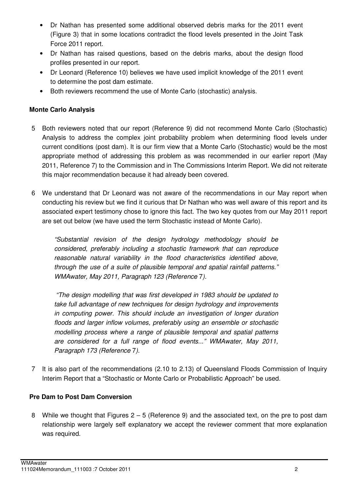- Dr Nathan has presented some additional observed debris marks for the 2011 event (Figure 3) that in some locations contradict the flood levels presented in the Joint Task Force 2011 report.
- Dr Nathan has raised questions, based on the debris marks, about the design flood profiles presented in our report.
- Dr Leonard (Reference 10) believes we have used implicit knowledge of the 2011 event to determine the post dam estimate.
- Both reviewers recommend the use of Monte Carlo (stochastic) analysis.

## **Monte Carlo Analysis**

- 5 Both reviewers noted that our report (Reference 9) did not recommend Monte Carlo (Stochastic) Analysis to address the complex joint probability problem when determining flood levels under current conditions (post dam). It is our firm view that a Monte Carlo (Stochastic) would be the most appropriate method of addressing this problem as was recommended in our earlier report (May 2011, Reference 7) to the Commission and in The Commissions Interim Report. We did not reiterate this major recommendation because it had already been covered.
- 6 We understand that Dr Leonard was not aware of the recommendations in our May report when conducting his review but we find it curious that Dr Nathan who was well aware of this report and its associated expert testimony chose to ignore this fact. The two key quotes from our May 2011 report are set out below (we have used the term Stochastic instead of Monte Carlo).

*"Substantial revision of the design hydrology methodology should be considered, preferably including a stochastic framework that can reproduce reasonable natural variability in the flood characteristics identified above, through the use of a suite of plausible temporal and spatial rainfall patterns." WMAwater, May 2011, Paragraph 123 (Reference* 7*).* 

 *"The design modelling that was first developed in 1983 should be updated to take full advantage of new techniques for design hydrology and improvements in computing power. This should include an investigation of longer duration floods and larger inflow volumes, preferably using an ensemble or stochastic modelling process where a range of plausible temporal and spatial patterns are considered for a full range of flood events..." WMAwater, May 2011, Paragraph 173 (Reference* 7*).* 

7 It is also part of the recommendations (2.10 to 2.13) of Queensland Floods Commission of Inquiry Interim Report that a "Stochastic or Monte Carlo or Probabilistic Approach" be used.

## **Pre Dam to Post Dam Conversion**

8 While we thought that Figures 2 – 5 (Reference 9) and the associated text, on the pre to post dam relationship were largely self explanatory we accept the reviewer comment that more explanation was required.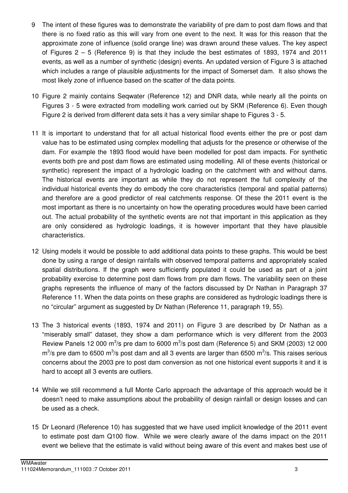- 9 The intent of these figures was to demonstrate the variability of pre dam to post dam flows and that there is no fixed ratio as this will vary from one event to the next. It was for this reason that the approximate zone of influence (solid orange line) was drawn around these values. The key aspect of Figures 2 – 5 (Reference 9) is that they include the best estimates of 1893, 1974 and 2011 events, as well as a number of synthetic (design) events. An updated version of Figure 3 is attached which includes a range of plausible adjustments for the impact of Somerset dam. It also shows the most likely zone of influence based on the scatter of the data points.
- 10 Figure 2 mainly contains Seqwater (Reference 12) and DNR data, while nearly all the points on Figures 3 - 5 were extracted from modelling work carried out by SKM (Reference 6). Even though Figure 2 is derived from different data sets it has a very similar shape to Figures 3 - 5.
- 11 It is important to understand that for all actual historical flood events either the pre or post dam value has to be estimated using complex modelling that adjusts for the presence or otherwise of the dam. For example the 1893 flood would have been modelled for post dam impacts. For synthetic events both pre and post dam flows are estimated using modelling. All of these events (historical or synthetic) represent the impact of a hydrologic loading on the catchment with and without dams. The historical events are important as while they do not represent the full complexity of the individual historical events they do embody the core characteristics (temporal and spatial patterns) and therefore are a good predictor of real catchments response. Of these the 2011 event is the most important as there is no uncertainty on how the operating procedures would have been carried out. The actual probability of the synthetic events are not that important in this application as they are only considered as hydrologic loadings, it is however important that they have plausible characteristics.
- 12 Using models it would be possible to add additional data points to these graphs. This would be best done by using a range of design rainfalls with observed temporal patterns and appropriately scaled spatial distributions. If the graph were sufficiently populated it could be used as part of a joint probability exercise to determine post dam flows from pre dam flows. The variability seen on these graphs represents the influence of many of the factors discussed by Dr Nathan in Paragraph 37 Reference 11. When the data points on these graphs are considered as hydrologic loadings there is no "circular" argument as suggested by Dr Nathan (Reference 11, paragraph 19, 55).
- 13 The 3 historical events (1893, 1974 and 2011) on Figure 3 are described by Dr Nathan as a "miserably small" dataset, they show a dam performance which is very different from the 2003 Review Panels 12 000 m<sup>3</sup>/s pre dam to 6000 m<sup>3</sup>/s post dam (Reference 5) and SKM (2003) 12 000  $\text{m}^3$ /s pre dam to 6500 m $^3$ /s post dam and all 3 events are larger than 6500 m $^3$ /s. This raises serious concerns about the 2003 pre to post dam conversion as not one historical event supports it and it is hard to accept all 3 events are outliers.
- 14 While we still recommend a full Monte Carlo approach the advantage of this approach would be it doesn't need to make assumptions about the probability of design rainfall or design losses and can be used as a check.
- 15 Dr Leonard (Reference 10) has suggested that we have used implicit knowledge of the 2011 event to estimate post dam Q100 flow. While we were clearly aware of the dams impact on the 2011 event we believe that the estimate is valid without being aware of this event and makes best use of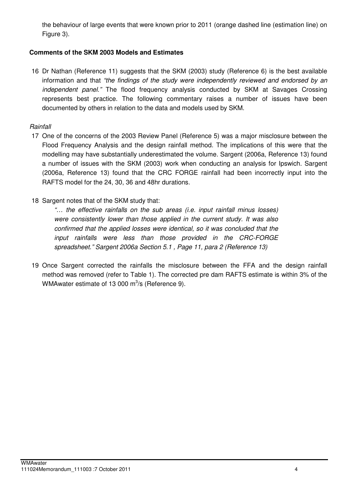the behaviour of large events that were known prior to 2011 (orange dashed line (estimation line) on Figure 3).

## **Comments of the SKM 2003 Models and Estimates**

16 Dr Nathan (Reference 11) suggests that the SKM (2003) study (Reference 6) is the best available information and that *"the findings of the study were independently reviewed and endorsed by an independent panel."* The flood frequency analysis conducted by SKM at Savages Crossing represents best practice. The following commentary raises a number of issues have been documented by others in relation to the data and models used by SKM.

#### *Rainfall*

- 17 One of the concerns of the 2003 Review Panel (Reference 5) was a major misclosure between the Flood Frequency Analysis and the design rainfall method. The implications of this were that the modelling may have substantially underestimated the volume. Sargent (2006a, Reference 13) found a number of issues with the SKM (2003) work when conducting an analysis for Ipswich. Sargent (2006a, Reference 13) found that the CRC FORGE rainfall had been incorrectly input into the RAFTS model for the 24, 30, 36 and 48hr durations.
- 18 Sargent notes that of the SKM study that:

*"… the effective rainfalls on the sub areas (i.e. input rainfall minus losses) were consistently lower than those applied in the current study. It was also confirmed that the applied losses were identical, so it was concluded that the input rainfalls were less than those provided in the CRC-FORGE spreadsheet." Sargent 2006a Section 5.1 , Page 11, para 2 (Reference 13)* 

19 Once Sargent corrected the rainfalls the misclosure between the FFA and the design rainfall method was removed (refer to Table 1). The corrected pre dam RAFTS estimate is within 3% of the WMAwater estimate of 13 000  $\mathrm{m}^3$ /s (Reference 9).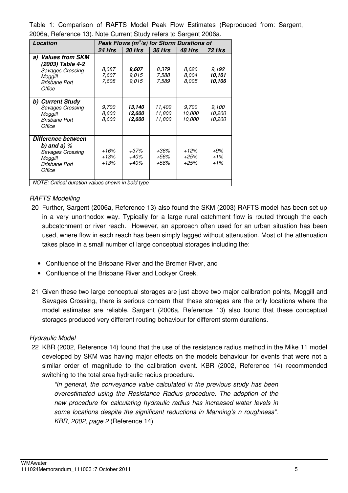Table 1: Comparison of RAFTS Model Peak Flow Estimates (Reproduced from: Sargent, 2006a, Reference 13). Note Current Study refers to Sargent 2006a.

| Location                                                                                                   | Peak Flows ( $m^3$ /s) for Storm Durations of |                            |                            |                                  |                            |
|------------------------------------------------------------------------------------------------------------|-----------------------------------------------|----------------------------|----------------------------|----------------------------------|----------------------------|
|                                                                                                            | <b>24 Hrs</b>                                 | <b>30 Hrs</b>              | <b>36 Hrs</b>              | 48 Hrs                           | <b>72 Hrs</b>              |
| <b>Values from SKM</b><br>a)<br>(2003) Table 4-2<br>Savages Crossing<br>Moggill<br>Brisbane Port<br>Office | 8.387<br>7,607<br>7,608                       | 9,607<br>9,015<br>9,015    | 8.379<br>7,588<br>7,589    | 8,626<br>8,004<br>8,005          | 9.192<br>10.101<br>10,106  |
| b) Current Study<br>Savages Crossing<br>Moggill<br><b>Brisbane Port</b><br>Office                          | 9,700<br>8,600<br>8,600                       | 13,140<br>12,600<br>12,600 | 11,400<br>11,800<br>11,800 | 9,700<br><i>10.000</i><br>10.000 | 9.100<br>10,200<br>10,200  |
| Difference between<br>b) and a) $%$<br>Savages Crossing<br>Moggill<br>Brisbane Port<br>Office              | +16%<br>+13%<br>+13%                          | +37%<br>+40%<br>+40%       | +36%<br>+56%<br>+56%       | $+12%$<br>$+25%$<br>$+25%$       | $+9\%$<br>$+1\%$<br>$+1\%$ |
| NOTE: Critical duration values shown in bold type                                                          |                                               |                            |                            |                                  |                            |

## *RAFTS Modelling*

- 20 Further, Sargent (2006a, Reference 13) also found the SKM (2003) RAFTS model has been set up in a very unorthodox way. Typically for a large rural catchment flow is routed through the each subcatchment or river reach. However, an approach often used for an urban situation has been used, where flow in each reach has been simply lagged without attenuation. Most of the attenuation takes place in a small number of large conceptual storages including the:
	- Confluence of the Brisbane River and the Bremer River, and
	- Confluence of the Brisbane River and Lockyer Creek.
- 21 Given these two large conceptual storages are just above two major calibration points, Moggill and Savages Crossing, there is serious concern that these storages are the only locations where the model estimates are reliable. Sargent (2006a, Reference 13) also found that these conceptual storages produced very different routing behaviour for different storm durations.

#### *Hydraulic Model*

22 KBR (2002, Reference 14) found that the use of the resistance radius method in the Mike 11 model developed by SKM was having major effects on the models behaviour for events that were not a similar order of magnitude to the calibration event. KBR (2002, Reference 14) recommended switching to the total area hydraulic radius procedure.

*"In general, the conveyance value calculated in the previous study has been overestimated using the Resistance Radius procedure. The adoption of the new procedure for calculating hydraulic radius has increased water levels in some locations despite the significant reductions in Manning's n roughness". KBR, 2002, page 2* (Reference 14)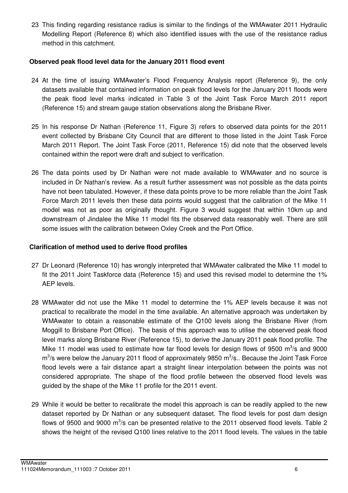23 This finding regarding resistance radius is similar to the findings of the WMAwater 2011 Hydraulic Modelling Report (Reference 8) which also identified issues with the use of the resistance radius method in this catchment.

#### **Observed peak flood level data for the January 2011 flood event**

- 24 At the time of issuing WMAwater's Flood Frequency Analysis report (Reference 9), the only datasets available that contained information on peak flood levels for the January 2011 floods were the peak flood level marks indicated in Table 3 of the Joint Task Force March 2011 report (Reference 15) and stream gauge station observations along the Brisbane River.
- 25 In his response Dr Nathan (Reference 11, Figure 3) refers to observed data points for the 2011 event collected by Brisbane City Council that are different to those listed in the Joint Task Force March 2011 Report. The Joint Task Force (2011, Reference 15) did note that the observed levels contained within the report were draft and subject to verification.
- 26 The data points used by Dr Nathan were not made available to WMAwater and no source is included in Dr Nathan's review. As a result further assessment was not possible as the data points have not been tabulated. However, if these data points prove to be more reliable than the Joint Task Force March 2011 levels then these data points would suggest that the calibration of the Mike 11 model was not as poor as originally thought. Figure 3 would suggest that within 10km up and downstream of Jindalee the Mike 11 model fits the observed data reasonably well. There are still some issues with the calibration between Oxley Creek and the Port Office.

#### **Clarification of method used to derive flood profiles**

- 27 Dr Leonard (Reference 10) has wrongly interpreted that WMAwater calibrated the Mike 11 model to fit the 2011 Joint Taskforce data (Reference 15) and used this revised model to determine the 1% AEP levels.
- 28 WMAwater did not use the Mike 11 model to determine the 1% AEP levels because it was not practical to recalibrate the model in the time available. An alternative approach was undertaken by WMAwater to obtain a reasonable estimate of the Q100 levels along the Brisbane River (from Moggill to Brisbane Port Office). The basis of this approach was to utilise the observed peak flood level marks along Brisbane River (Reference 15), to derive the January 2011 peak flood profile. The Mike 11 model was used to estimate how far flood levels for design flows of 9500  $\text{m}^3\text{/s}$  and 9000  $\text{m}^3$ /s were below the January 2011 flood of approximately 9850  $\text{m}^3$ /s.. Because the Joint Task Force flood levels were a fair distance apart a straight linear interpolation between the points was not considered appropriate. The shape of the flood profile between the observed flood levels was guided by the shape of the Mike 11 profile for the 2011 event.
- 29 While it would be better to recalibrate the model this approach is can be readily applied to the new dataset reported by Dr Nathan or any subsequent dataset. The flood levels for post dam design flows of 9500 and 9000  $\text{m}^3$ /s can be presented relative to the 2011 observed flood levels. Table 2 shows the height of the revised Q100 lines relative to the 2011 flood levels. The values in the table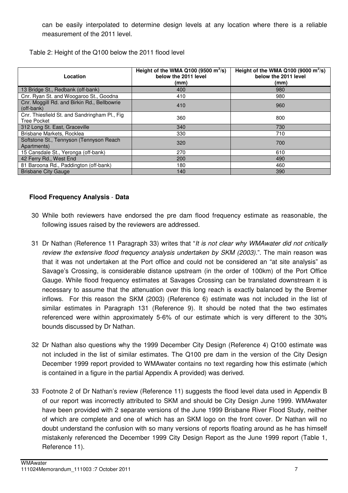can be easily interpolated to determine design levels at any location where there is a reliable measurement of the 2011 level.

Table 2: Height of the Q100 below the 2011 flood level

| Location                                                            | Height of the WMA Q100 $(9500 \text{ m}^3/\text{s})$<br>below the 2011 level<br>(mm) | Height of the WMA Q100 $(9000 \text{ m}^3/\text{s})$<br>below the 2011 level<br>(mm) |
|---------------------------------------------------------------------|--------------------------------------------------------------------------------------|--------------------------------------------------------------------------------------|
| 13 Bridge St., Redbank (off-bank)                                   | 400                                                                                  | 980                                                                                  |
| Cnr. Ryan St. and Woogaroo St., Goodna                              | 410                                                                                  | 980                                                                                  |
| Cnr. Moggill Rd. and Birkin Rd., Bellbowrie<br>(off-bank)           | 410                                                                                  | 960                                                                                  |
| Cnr. Thiesfield St. and Sandringham Pl., Fig.<br><b>Tree Pocket</b> | 360                                                                                  | 800                                                                                  |
| 312 Long St. East, Graceville                                       | 340                                                                                  | 730                                                                                  |
| Brisbane Markets, Rocklea                                           | 330                                                                                  | 710                                                                                  |
| Softstone St., Tennyson (Tennyson Reach<br>Apartments)              | 320                                                                                  | 700                                                                                  |
| 15 Cansdale St., Yeronga (off-bank)                                 | 270                                                                                  | 610                                                                                  |
| 42 Ferry Rd., West End                                              | 200                                                                                  | 490                                                                                  |
| 81 Baroona Rd., Paddington (off-bank)                               | 180                                                                                  | 460                                                                                  |
| <b>Brisbane City Gauge</b>                                          | 140                                                                                  | 390                                                                                  |

## **Flood Frequency Analysis** - **Data**

- 30 While both reviewers have endorsed the pre dam flood frequency estimate as reasonable, the following issues raised by the reviewers are addressed.
- 31 Dr Nathan (Reference 11 Paragraph 33) writes that "*It is not clear why WMAwater did not critically review the extensive flood frequency analysis undertaken by SKM (2003).*". The main reason was that it was not undertaken at the Port office and could not be considered an "at site analysis" as Savage's Crossing, is considerable distance upstream (in the order of 100km) of the Port Office Gauge. While flood frequency estimates at Savages Crossing can be translated downstream it is necessary to assume that the attenuation over this long reach is exactly balanced by the Bremer inflows. For this reason the SKM (2003) (Reference 6) estimate was not included in the list of similar estimates in Paragraph 131 (Reference 9). It should be noted that the two estimates referenced were within approximately 5-6% of our estimate which is very different to the 30% bounds discussed by Dr Nathan.
- 32 Dr Nathan also questions why the 1999 December City Design (Reference 4) Q100 estimate was not included in the list of similar estimates. The Q100 pre dam in the version of the City Design December 1999 report provided to WMAwater contains no text regarding how this estimate (which is contained in a figure in the partial Appendix A provided) was derived.
- 33 Footnote 2 of Dr Nathan's review (Reference 11) suggests the flood level data used in Appendix B of our report was incorrectly attributed to SKM and should be City Design June 1999. WMAwater have been provided with 2 separate versions of the June 1999 Brisbane River Flood Study, neither of which are complete and one of which has an SKM logo on the front cover. Dr Nathan will no doubt understand the confusion with so many versions of reports floating around as he has himself mistakenly referenced the December 1999 City Design Report as the June 1999 report (Table 1, Reference 11).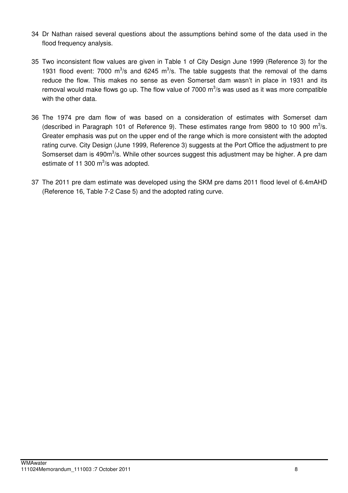- 34 Dr Nathan raised several questions about the assumptions behind some of the data used in the flood frequency analysis.
- 35 Two inconsistent flow values are given in Table 1 of City Design June 1999 (Reference 3) for the 1931 flood event: 7000  $\mathrm{m}^3$ /s and 6245  $\mathrm{m}^3$ /s. The table suggests that the removal of the dams reduce the flow. This makes no sense as even Somerset dam wasn't in place in 1931 and its removal would make flows go up. The flow value of 7000  $\text{m}^3$ /s was used as it was more compatible with the other data.
- 36 The 1974 pre dam flow of was based on a consideration of estimates with Somerset dam (described in Paragraph 101 of Reference 9). These estimates range from 9800 to 10 900  $m^3/s$ . Greater emphasis was put on the upper end of the range which is more consistent with the adopted rating curve. City Design (June 1999, Reference 3) suggests at the Port Office the adjustment to pre Somserset dam is 490m<sup>3</sup>/s. While other sources suggest this adjustment may be higher. A pre dam estimate of 11 300  $\text{m}^3\text{/s}$  was adopted.
- 37 The 2011 pre dam estimate was developed using the SKM pre dams 2011 flood level of 6.4mAHD (Reference 16, Table 7-2 Case 5) and the adopted rating curve.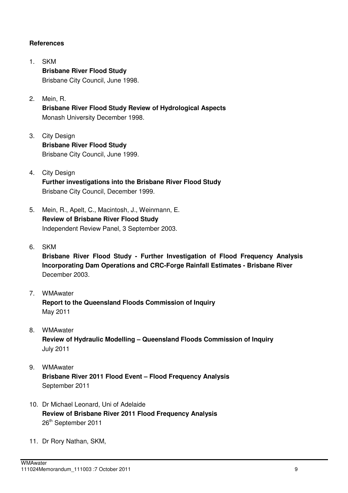#### **References**

- 1. SKM  **Brisbane River Flood Study** Brisbane City Council, June 1998.
- 2. Mein, R.  **Brisbane River Flood Study Review of Hydrological Aspects**  Monash University December 1998.
- 3. City Design  **Brisbane River Flood Study**  Brisbane City Council, June 1999.
- 4. City Design  **Further investigations into the Brisbane River Flood Study**  Brisbane City Council, December 1999.
- 5. Mein, R., Apelt, C., Macintosh, J., Weinmann, E.  **Review of Brisbane River Flood Study**  Independent Review Panel, 3 September 2003.
- 6. SKM

**Brisbane River Flood Study - Further Investigation of Flood Frequency Analysis Incorporating Dam Operations and CRC-Forge Rainfall Estimates - Brisbane River**  December 2003.

- 7. WMAwater **Report to the Queensland Floods Commission of Inquiry**  May 2011
- 8. WMAwater **Review of Hydraulic Modelling – Queensland Floods Commission of Inquiry**  July 2011
- 9. WMAwater **Brisbane River 2011 Flood Event – Flood Frequency Analysis**  September 2011
- 10. Dr Michael Leonard, Uni of Adelaide **Review of Brisbane River 2011 Flood Frequency Analysis**  26<sup>th</sup> September 2011
- 11. Dr Rory Nathan, SKM,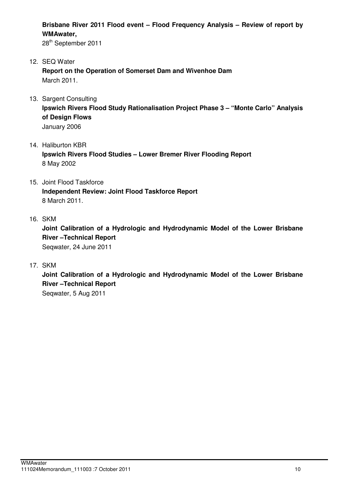**Brisbane River 2011 Flood event – Flood Frequency Analysis – Review of report by WMAwater,** 

28<sup>th</sup> September 2011

- 12. SEQ Water  **Report on the Operation of Somerset Dam and Wivenhoe Dam**  March 2011.
- 13. Sargent Consulting

**Ipswich Rivers Flood Study Rationalisation Project Phase 3 – "Monte Carlo" Analysis of Design Flows**  January 2006

14. Haliburton KBR

**Ipswich Rivers Flood Studies – Lower Bremer River Flooding Report**  8 May 2002

- 15. Joint Flood Taskforce  **Independent Review: Joint Flood Taskforce Report**  8 March 2011.
- 16. SKM

**Joint Calibration of a Hydrologic and Hydrodynamic Model of the Lower Brisbane River –Technical Report**  Seqwater, 24 June 2011

17. SKM

**Joint Calibration of a Hydrologic and Hydrodynamic Model of the Lower Brisbane River –Technical Report** 

Seqwater, 5 Aug 2011